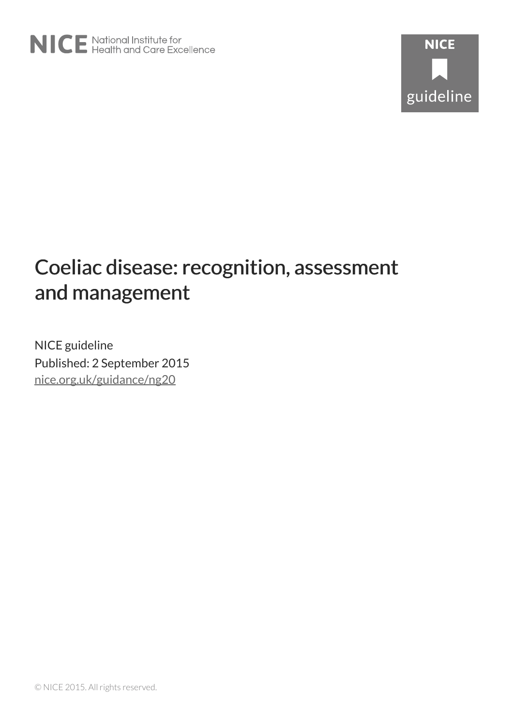# Coeliac disease: recognition, assessment and management

NICE guideline Published: 2 September 2015 [nice.org.uk/guidance/ng20](http://nice.org.uk/guidance/ng20)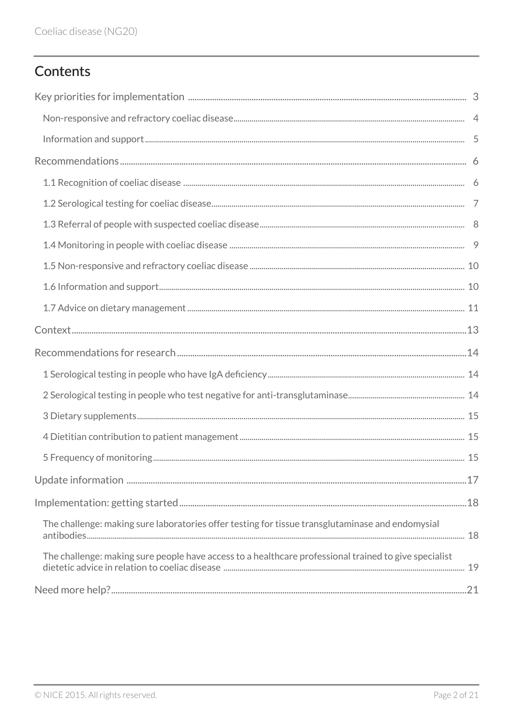# Contents

| The challenge: making sure laboratories offer testing for tissue transglutaminase and endomysial      |  |
|-------------------------------------------------------------------------------------------------------|--|
| The challenge: making sure people have access to a healthcare professional trained to give specialist |  |
|                                                                                                       |  |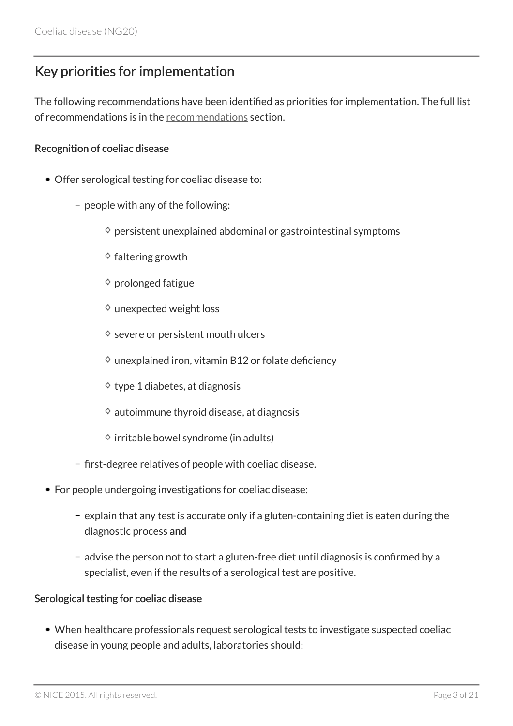# <span id="page-2-0"></span>Key priorities for implementation

The following recommendations have been identified as priorities for implementation. The full list of recommendations is in the [recommendations](#page-5-0) section.

#### Recognition of coeliac disease

- Offer serological testing for coeliac disease to:
	- people with any of the following:
		- $\diamond$  persistent unexplained abdominal or gastrointestinal symptoms
		- $\diamond$  faltering growth
		- $\diamond$  prolonged fatigue
		- $\diamond$  unexpected weight loss
		- $\diamond$  severe or persistent mouth ulcers
		- $\diamond$  unexplained iron, vitamin B12 or folate deficiency
		- $\diamond$  type 1 diabetes, at diagnosis
		- $\diamond$  autoimmune thyroid disease, at diagnosis
		- $\Diamond$  irritable bowel syndrome (in adults)
	- first-degree relatives of people with coeliac disease.
- For people undergoing investigations for coeliac disease:
	- $-$  explain that any test is accurate only if a gluten-containing diet is eaten during the diagnostic process and
	- advise the person not to start a gluten-free diet until diagnosis is confirmed by a specialist, even if the results of a serological test are positive.

#### Serological testing for coeliac disease

When healthcare professionals request serological tests to investigate suspected coeliac disease in young people and adults, laboratories should: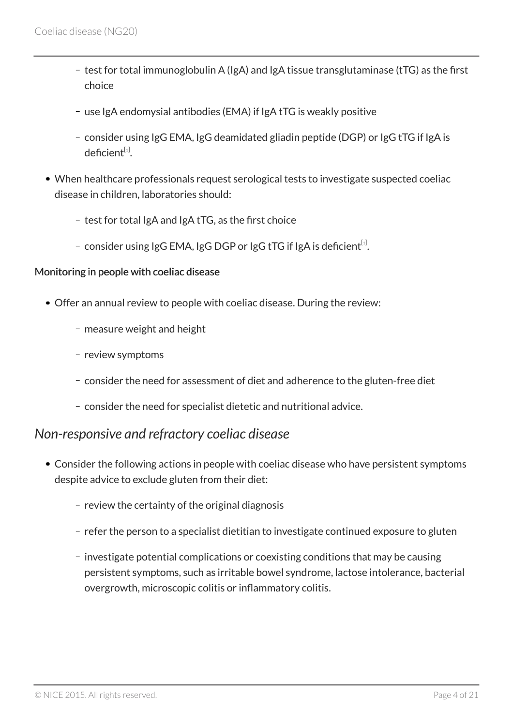- $-$  test for total immunoglobulin A (IgA) and IgA tissue transglutaminase (tTG) as the first choice
- use IgA endomysial antibodies (EMA) if IgA tTG is weakly positive
- consider using IgG EMA, IgG deamidated gliadin peptide (DGP) or IgG tTG if IgA is deficient $^{\left[ \text{1}\right] }$  $^{\left[ \text{1}\right] }$  $^{\left[ \text{1}\right] }$ .
- <span id="page-3-1"></span>When healthcare professionals request serological tests to investigate suspected coeliac disease in children, laboratories should:
	- $-$  test for total IgA and IgA tTG, as the first choice
	- consider using IgG EMA, IgG DGP or IgG tTG if IgA is deficient $^{\text{\tiny{[1]}}}$  $^{\text{\tiny{[1]}}}$  $^{\text{\tiny{[1]}}}$ .

#### Monitoring in people with coeliac disease

- Offer an annual review to people with coeliac disease. During the review:
	- measure weight and height
	- review symptoms
	- consider the need for assessment of diet and adherence to the gluten-free diet
	- consider the need for specialist dietetic and nutritional advice.

### <span id="page-3-0"></span>*Non-responsive and refractory coeliac disease*

- Consider the following actions in people with coeliac disease who have persistent symptoms despite advice to exclude gluten from their diet:
	- $-$  review the certainty of the original diagnosis
	- refer the person to a specialist dietitian to investigate continued exposure to gluten
	- investigate potential complications or coexisting conditions that may be causing persistent symptoms, such as irritable bowel syndrome, lactose intolerance, bacterial overgrowth, microscopic colitis or inflammatory colitis.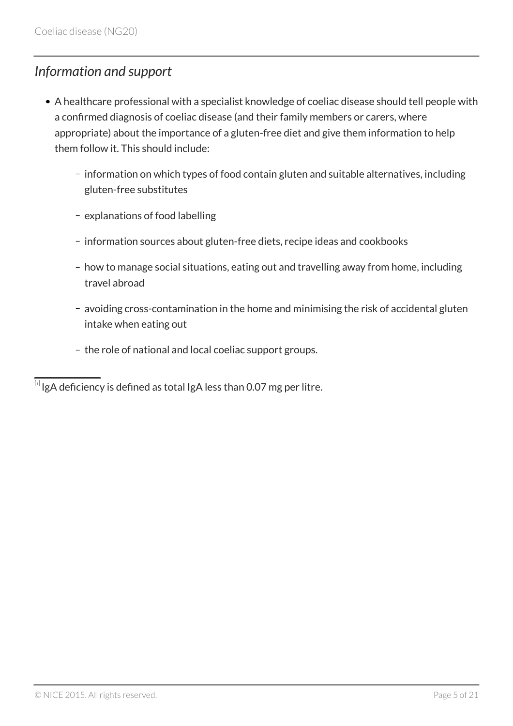### <span id="page-4-0"></span>*Information and support*

- A healthcare professional with a specialist knowledge of coeliac disease should tell people with a confirmed diagnosis of coeliac disease (and their family members or carers, where appropriate) about the importance of a gluten-free diet and give them information to help them follow it. This should include:
	- information on which types of food contain gluten and suitable alternatives, including gluten-free substitutes
	- explanations of food labelling
	- information sources about gluten-free diets, recipe ideas and cookbooks
	- how to manage social situations, eating out and travelling away from home, including travel abroad
	- avoiding cross-contamination in the home and minimising the risk of accidental gluten intake when eating out
	- the role of national and local coeliac support groups.

<span id="page-4-1"></span> $^{\left[ \textrm{i}\right]}$ IgA deficiency is defined as total IgA less than 0.07 mg per litre.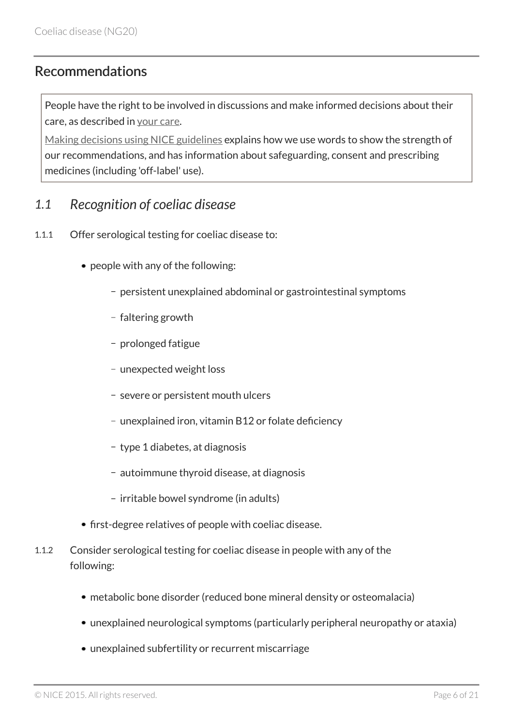### <span id="page-5-0"></span>Recommendations

People have the right to be involved in discussions and make informed decisions about their care, as described in [your care](https://www.nice.org.uk/about/nice-communities/public-involvement/your-care).

[Making decisions using NICE guidelines](https://www.nice.org.uk/about/what-we-do/our-programmes/nice-guidance/nice-guidelines/using-NICE-guidelines-to-make-decisions) explains how we use words to show the strength of our recommendations, and has information about safeguarding, consent and prescribing medicines (including 'off-label' use).

### <span id="page-5-1"></span>*1.1 Recognition of coeliac disease*

- 1.1.1 Offer serological testing for coeliac disease to:
	- people with any of the following:
		- persistent unexplained abdominal or gastrointestinal symptoms
		- faltering growth
		- prolonged fatigue
		- unexpected weight loss
		- severe or persistent mouth ulcers
		- unexplained iron, vitamin B12 or folate deficiency
		- type 1 diabetes, at diagnosis
		- autoimmune thyroid disease, at diagnosis
		- irritable bowel syndrome (in adults)
	- first-degree relatives of people with coeliac disease.
- 1.1.2 Consider serological testing for coeliac disease in people with any of the following:
	- metabolic bone disorder (reduced bone mineral density or osteomalacia)
	- unexplained neurological symptoms (particularly peripheral neuropathy or ataxia)
	- unexplained subfertility or recurrent miscarriage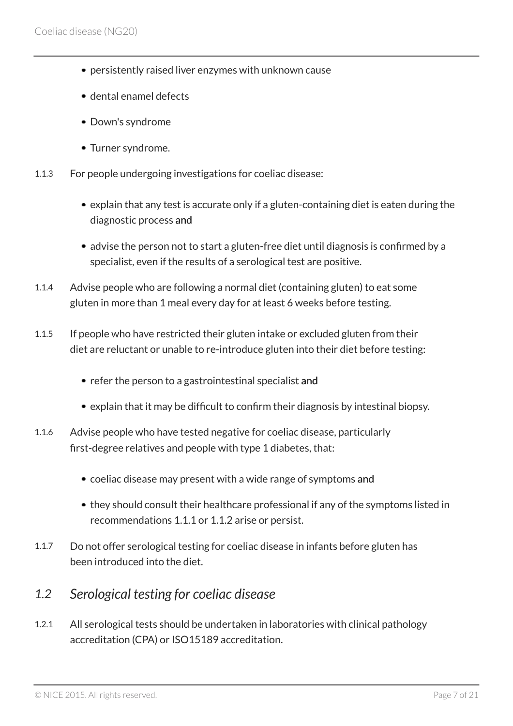- persistently raised liver enzymes with unknown cause
- dental enamel defects
- Down's syndrome
- Turner syndrome.
- 1.1.3 For people undergoing investigations for coeliac disease:
	- explain that any test is accurate only if a gluten-containing diet is eaten during the diagnostic process and
	- advise the person not to start a gluten-free diet until diagnosis is confirmed by a specialist, even if the results of a serological test are positive.
- 1.1.4 Advise people who are following a normal diet (containing gluten) to eat some gluten in more than 1 meal every day for at least 6 weeks before testing.
- 1.1.5 If people who have restricted their gluten intake or excluded gluten from their diet are reluctant or unable to re-introduce gluten into their diet before testing:
	- refer the person to a gastrointestinal specialist and
	- explain that it may be difficult to confirm their diagnosis by intestinal biopsy.
- 1.1.6 Advise people who have tested negative for coeliac disease, particularly first-degree relatives and people with type 1 diabetes, that:
	- coeliac disease may present with a wide range of symptoms and
	- they should consult their healthcare professional if any of the symptoms listed in recommendations 1.1.1 or 1.1.2 arise or persist.
- 1.1.7 Do not offer serological testing for coeliac disease in infants before gluten has been introduced into the diet.

### <span id="page-6-0"></span>*1.2 Serological testing for coeliac disease*

1.2.1 All serological tests should be undertaken in laboratories with clinical pathology accreditation (CPA) or ISO15189 accreditation.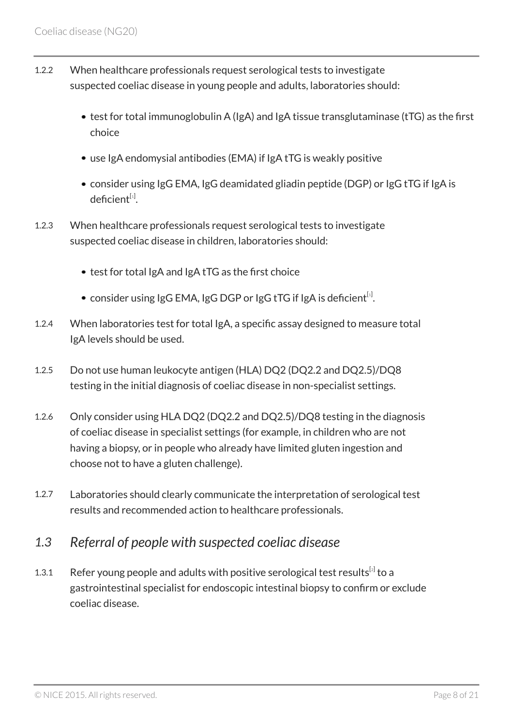- 1.2.2 When healthcare professionals request serological tests to investigate suspected coeliac disease in young people and adults, laboratories should:
	- test for total immunoglobulin A (IgA) and IgA tissue transglutaminase (tTG) as the first choice
	- use IgA endomysial antibodies (EMA) if IgA tTG is weakly positive
	- consider using IgG EMA, IgG deamidated gliadin peptide (DGP) or IgG tTG if IgA is deficient $^{\left[ \text{1}\right] }$  $^{\left[ \text{1}\right] }$  $^{\left[ \text{1}\right] }$ .
- 1.2.3 When healthcare professionals request serological tests to investigate suspected coeliac disease in children, laboratories should:
	- test for total IgA and IgA tTG as the first choice
	- consider using IgG EMA, IgG DGP or IgG tTG if IgA is deficient $^{\text{\tiny{[1]}}}$  $^{\text{\tiny{[1]}}}$  $^{\text{\tiny{[1]}}}$ .
- 1.2.4 When laboratories test for total IgA, a specific assay designed to measure total IgA levels should be used.
- 1.2.5 Do not use human leukocyte antigen (HLA) DQ2 (DQ2.2 and DQ2.5)/DQ8 testing in the initial diagnosis of coeliac disease in non-specialist settings.
- 1.2.6 Only consider using HLA DQ2 (DQ2.2 and DQ2.5)/DQ8 testing in the diagnosis of coeliac disease in specialist settings (for example, in children who are not having a biopsy, or in people who already have limited gluten ingestion and choose not to have a gluten challenge).
- 1.2.7 Laboratories should clearly communicate the interpretation of serological test results and recommended action to healthcare professionals.

### <span id="page-7-0"></span>*1.3 Referral of people with suspected coeliac disease*

<span id="page-7-1"></span>1.3.1 Refer young people and adults with positive serological test results<sup>[[2](#page-11-0)]</sup> to a gastrointestinal specialist for endoscopic intestinal biopsy to confirm or exclude coeliac disease.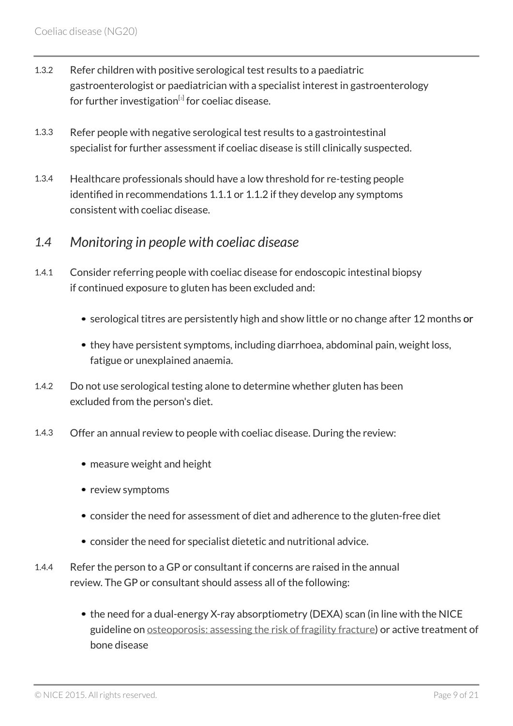- 1.3.2 Refer children with positive serological test results to a paediatric gastroenterologist or paediatrician with a specialist interest in gastroenterology for further investigation<sup>[s]</sup> for coeliac disease.
- <span id="page-8-1"></span>1.3.3 Refer people with negative serological test results to a gastrointestinal specialist for further assessment if coeliac disease is still clinically suspected.
- 1.3.4 Healthcare professionals should have a low threshold for re-testing people identified in recommendations 1.1.1 or 1.1.2 if they develop any symptoms consistent with coeliac disease.

### <span id="page-8-0"></span>*1.4 Monitoring in people with coeliac disease*

- 1.4.1 Consider referring people with coeliac disease for endoscopic intestinal biopsy if continued exposure to gluten has been excluded and:
	- serological titres are persistently high and show little or no change after 12 months or
	- they have persistent symptoms, including diarrhoea, abdominal pain, weight loss, fatigue or unexplained anaemia.
- 1.4.2 Do not use serological testing alone to determine whether gluten has been excluded from the person's diet.
- 1.4.3 Offer an annual review to people with coeliac disease. During the review:
	- measure weight and height
	- review symptoms
	- consider the need for assessment of diet and adherence to the gluten-free diet
	- consider the need for specialist dietetic and nutritional advice.
- 1.4.4 Refer the person to a GP or consultant if concerns are raised in the annual review. The GP or consultant should assess all of the following:
	- the need for a dual-energy X-ray absorptiometry (DEXA) scan (in line with the NICE guideline on [osteoporosis: assessing the risk of fragility fracture](http://www.nice.org.uk/guidance/cg146)) or active treatment of bone disease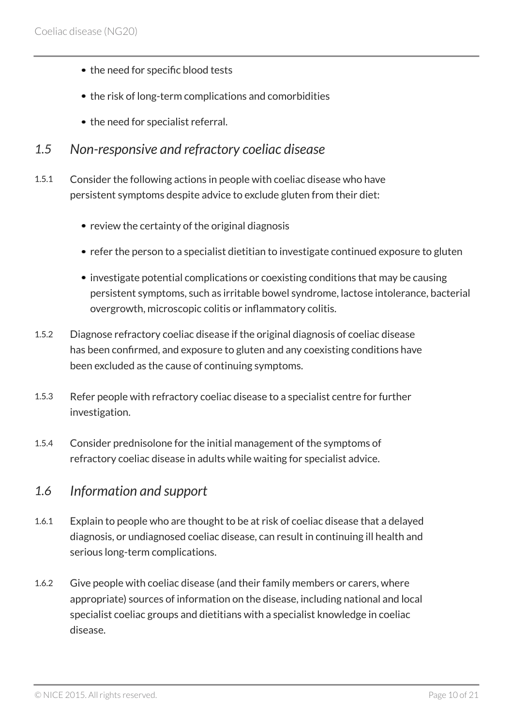- the need for specific blood tests
- the risk of long-term complications and comorbidities
- the need for specialist referral.
- <span id="page-9-0"></span>*1.5 Non-responsive and refractory coeliac disease*
- 1.5.1 Consider the following actions in people with coeliac disease who have persistent symptoms despite advice to exclude gluten from their diet:
	- review the certainty of the original diagnosis
	- refer the person to a specialist dietitian to investigate continued exposure to gluten
	- investigate potential complications or coexisting conditions that may be causing persistent symptoms, such as irritable bowel syndrome, lactose intolerance, bacterial overgrowth, microscopic colitis or inflammatory colitis.
- 1.5.2 Diagnose refractory coeliac disease if the original diagnosis of coeliac disease has been confirmed, and exposure to gluten and any coexisting conditions have been excluded as the cause of continuing symptoms.
- 1.5.3 Refer people with refractory coeliac disease to a specialist centre for further investigation.
- 1.5.4 Consider prednisolone for the initial management of the symptoms of refractory coeliac disease in adults while waiting for specialist advice.

#### <span id="page-9-1"></span>*1.6 Information and support*

- 1.6.1 Explain to people who are thought to be at risk of coeliac disease that a delayed diagnosis, or undiagnosed coeliac disease, can result in continuing ill health and serious long-term complications.
- 1.6.2 Give people with coeliac disease (and their family members or carers, where appropriate) sources of information on the disease, including national and local specialist coeliac groups and dietitians with a specialist knowledge in coeliac disease.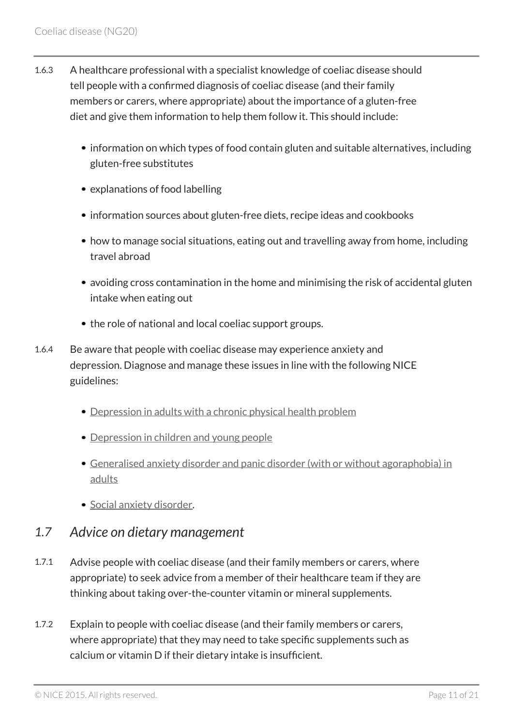- 1.6.3 A healthcare professional with a specialist knowledge of coeliac disease should tell people with a confirmed diagnosis of coeliac disease (and their family members or carers, where appropriate) about the importance of a gluten-free diet and give them information to help them follow it. This should include:
	- information on which types of food contain gluten and suitable alternatives, including gluten-free substitutes
	- explanations of food labelling
	- information sources about gluten-free diets, recipe ideas and cookbooks
	- how to manage social situations, eating out and travelling away from home, including travel abroad
	- avoiding cross contamination in the home and minimising the risk of accidental gluten intake when eating out
	- the role of national and local coeliac support groups.
- 1.6.4 Be aware that people with coeliac disease may experience anxiety and depression. Diagnose and manage these issues in line with the following NICE guidelines:
	- [Depression in adults with a chronic physical health problem](http://www.nice.org.uk/guidance/cg91)
	- [Depression in children and young people](http://www.nice.org.uk/guidance/cg28)
	- [Generalised anxiety disorder and panic disorder \(with or without agoraphobia\) in](http://www.nice.org.uk/guidance/cg113) [adults](http://www.nice.org.uk/guidance/cg113)
	- · [Social anxiety disorder](http://www.nice.org.uk/guidance/cg159).

### <span id="page-10-0"></span>*1.7 Advice on dietary management*

- 1.7.1 Advise people with coeliac disease (and their family members or carers, where appropriate) to seek advice from a member of their healthcare team if they are thinking about taking over-the-counter vitamin or mineral supplements.
- 1.7.2 Explain to people with coeliac disease (and their family members or carers, where appropriate) that they may need to take specific supplements such as calcium or vitamin D if their dietary intake is insufficient.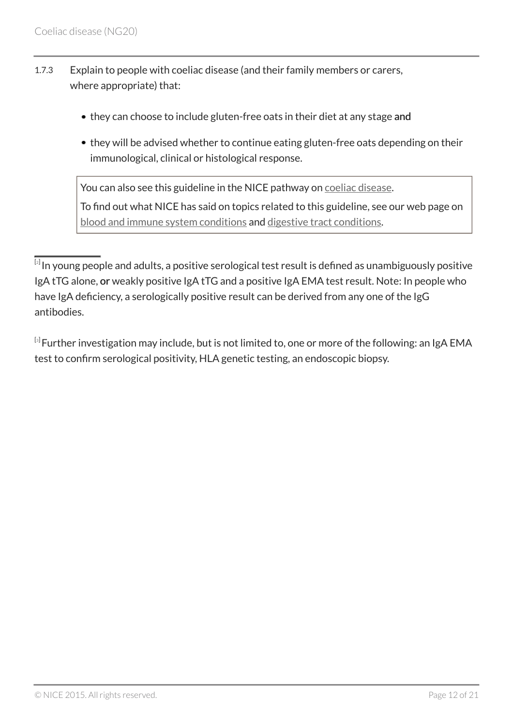- 1.7.3 Explain to people with coeliac disease (and their family members or carers, where appropriate) that:
	- they can choose to include gluten-free oats in their diet at any stage and
	- they will be advised whether to continue eating gluten-free oats depending on their immunological, clinical or histological response.

You can also see this guideline in the NICE pathway on [coeliac disease](http://pathways.nice.org.uk/pathways/coeliac-disease). To find out what NICE has said on topics related to this guideline, see our web page on [blood and immune system conditions](http://www.nice.org.uk/guidancemenu/conditions-and-diseases/blood-and-immune-system-conditions) and [digestive tract conditions](http://www.nice.org.uk/guidancemenu/conditions-and-diseases/digestive-tract-conditions).

<span id="page-11-1"></span> $^{\text{\tiny{[3]}}}$  $^{\text{\tiny{[3]}}}$  $^{\text{\tiny{[3]}}}$ Further investigation may include, but is not limited to, one or more of the following: an IgA EMA test to confirm serological positivity, HLA genetic testing, an endoscopic biopsy.

<span id="page-11-0"></span> $^{\lbrack 2]}$  $^{\lbrack 2]}$  $^{\lbrack 2]}$ In young people and adults, a positive serological test result is defined as unambiguously positive IgA tTG alone, or weakly positive IgA tTG and a positive IgA EMA test result. Note: In people who have IgA deficiency, a serologically positive result can be derived from any one of the IgG antibodies.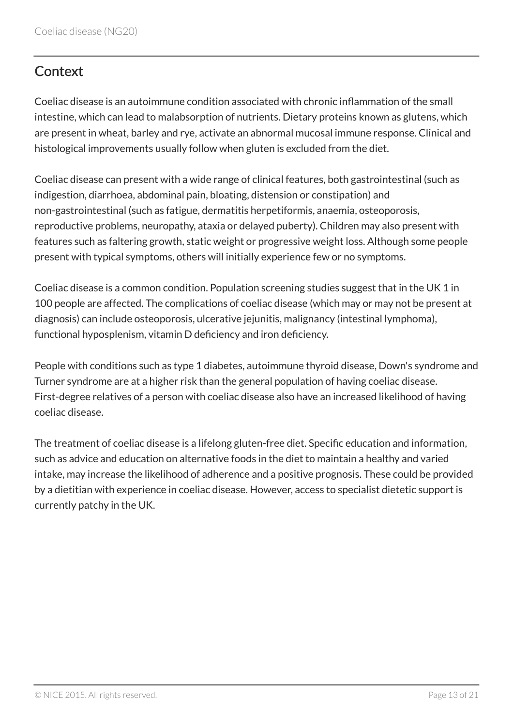# <span id="page-12-0"></span>**Context**

Coeliac disease is an autoimmune condition associated with chronic inflammation of the small intestine, which can lead to malabsorption of nutrients. Dietary proteins known as glutens, which are present in wheat, barley and rye, activate an abnormal mucosal immune response. Clinical and histological improvements usually follow when gluten is excluded from the diet.

Coeliac disease can present with a wide range of clinical features, both gastrointestinal (such as indigestion, diarrhoea, abdominal pain, bloating, distension or constipation) and non-gastrointestinal (such as fatigue, dermatitis herpetiformis, anaemia, osteoporosis, reproductive problems, neuropathy, ataxia or delayed puberty). Children may also present with features such as faltering growth, static weight or progressive weight loss. Although some people present with typical symptoms, others will initially experience few or no symptoms.

Coeliac disease is a common condition. Population screening studies suggest that in the UK 1 in 100 people are affected. The complications of coeliac disease (which may or may not be present at diagnosis) can include osteoporosis, ulcerative jejunitis, malignancy (intestinal lymphoma), functional hyposplenism, vitamin D deficiency and iron deficiency.

People with conditions such as type 1 diabetes, autoimmune thyroid disease, Down's syndrome and Turner syndrome are at a higher risk than the general population of having coeliac disease. First-degree relatives of a person with coeliac disease also have an increased likelihood of having coeliac disease.

The treatment of coeliac disease is a lifelong gluten-free diet. Specific education and information, such as advice and education on alternative foods in the diet to maintain a healthy and varied intake, may increase the likelihood of adherence and a positive prognosis. These could be provided by a dietitian with experience in coeliac disease. However, access to specialist dietetic support is currently patchy in the UK.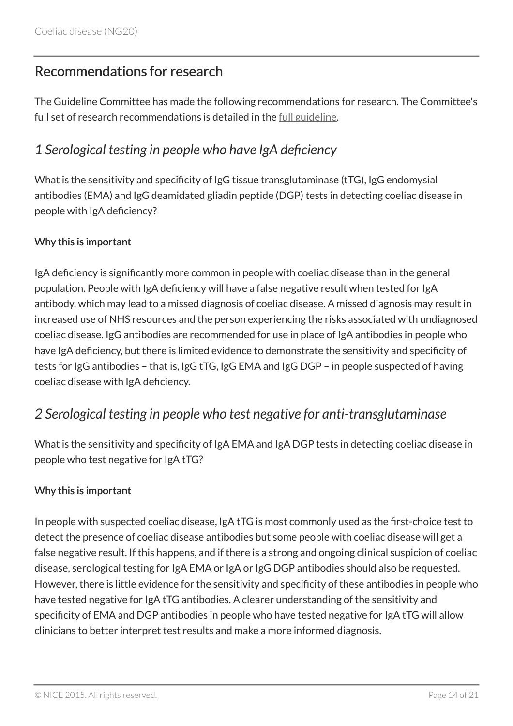# <span id="page-13-0"></span>Recommendations for research

The Guideline Committee has made the following recommendations for research. The Committee's full set of research recommendations is detailed in the <u>[full guideline](http://www.nice.org.uk/Guidance/NG20/Evidence)</u>.

### <span id="page-13-1"></span>*1 Serological testing in people who have IgA deficiency*

What is the sensitivity and specificity of IgG tissue transglutaminase (tTG), IgG endomysial antibodies (EMA) and IgG deamidated gliadin peptide (DGP) tests in detecting coeliac disease in people with IgA deficiency?

#### Why this is important

IgA deficiency is significantly more common in people with coeliac disease than in the general population. People with IgA deficiency will have a false negative result when tested for IgA antibody, which may lead to a missed diagnosis of coeliac disease. A missed diagnosis may result in increased use of NHS resources and the person experiencing the risks associated with undiagnosed coeliac disease. IgG antibodies are recommended for use in place of IgA antibodies in people who have IgA deficiency, but there is limited evidence to demonstrate the sensitivity and specificity of tests for IgG antibodies – that is, IgG tTG, IgG EMA and IgG DGP – in people suspected of having coeliac disease with IgA deficiency.

### <span id="page-13-2"></span>*2 Serological testing in people who test negative for anti-transglutaminase*

What is the sensitivity and specificity of IgA EMA and IgA DGP tests in detecting coeliac disease in people who test negative for IgA tTG?

#### Why this is important

In people with suspected coeliac disease, IgA tTG is most commonly used as the first-choice test to detect the presence of coeliac disease antibodies but some people with coeliac disease will get a false negative result. If this happens, and if there is a strong and ongoing clinical suspicion of coeliac disease, serological testing for IgA EMA or IgA or IgG DGP antibodies should also be requested. However, there is little evidence for the sensitivity and specificity of these antibodies in people who have tested negative for IgA tTG antibodies. A clearer understanding of the sensitivity and specificity of EMA and DGP antibodies in people who have tested negative for IgA tTG will allow clinicians to better interpret test results and make a more informed diagnosis.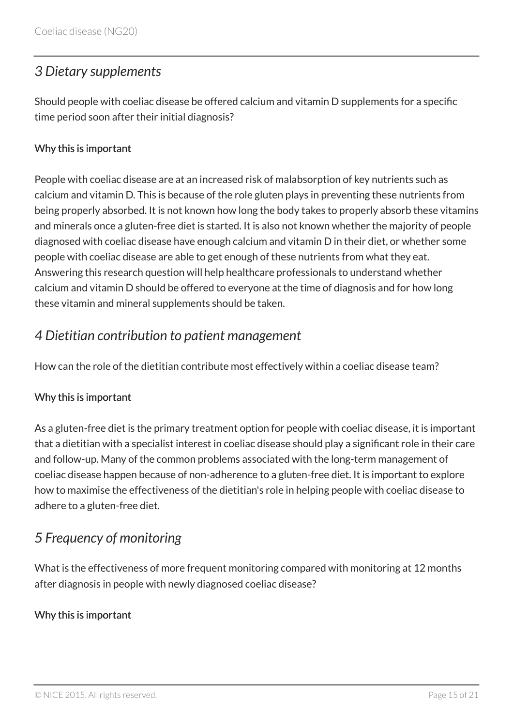# <span id="page-14-0"></span>*3 Dietary supplements*

Should people with coeliac disease be offered calcium and vitamin D supplements for a specific time period soon after their initial diagnosis?

#### Why this is important

People with coeliac disease are at an increased risk of malabsorption of key nutrients such as calcium and vitamin D. This is because of the role gluten plays in preventing these nutrients from being properly absorbed. It is not known how long the body takes to properly absorb these vitamins and minerals once a gluten-free diet is started. It is also not known whether the majority of people diagnosed with coeliac disease have enough calcium and vitamin D in their diet, or whether some people with coeliac disease are able to get enough of these nutrients from what they eat. Answering this research question will help healthcare professionals to understand whether calcium and vitamin D should be offered to everyone at the time of diagnosis and for how long these vitamin and mineral supplements should be taken.

### <span id="page-14-1"></span>*4 Dietitian contribution to patient management*

How can the role of the dietitian contribute most effectively within a coeliac disease team?

#### Why this is important

As a gluten-free diet is the primary treatment option for people with coeliac disease, it is important that a dietitian with a specialist interest in coeliac disease should play a significant role in their care and follow-up. Many of the common problems associated with the long-term management of coeliac disease happen because of non-adherence to a gluten-free diet. It is important to explore how to maximise the effectiveness of the dietitian's role in helping people with coeliac disease to adhere to a gluten-free diet.

# <span id="page-14-2"></span>*5 Frequency of monitoring*

What is the effectiveness of more frequent monitoring compared with monitoring at 12 months after diagnosis in people with newly diagnosed coeliac disease?

#### Why this is important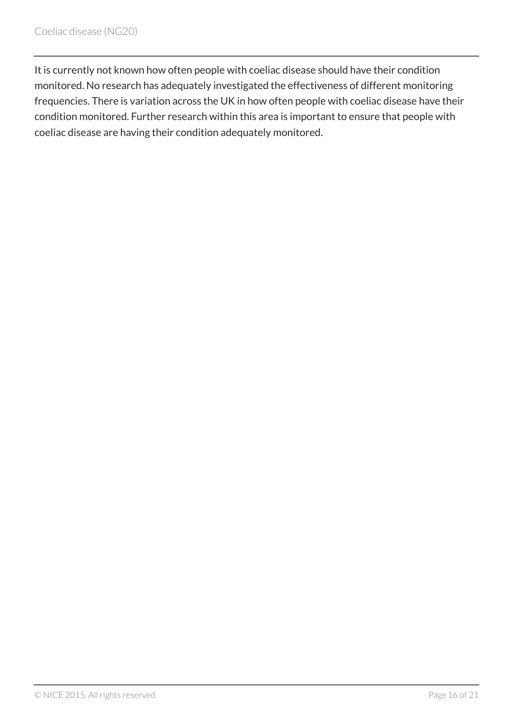It is currently not known how often people with coeliac disease should have their condition monitored. No research has adequately investigated the effectiveness of different monitoring frequencies. There is variation across the UK in how often people with coeliac disease have their condition monitored. Further research within this area is important to ensure that people with coeliac disease are having their condition adequately monitored.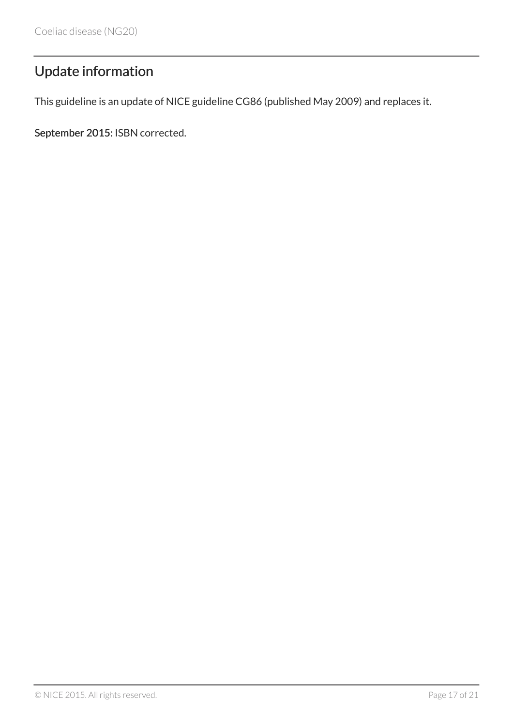# <span id="page-16-0"></span>Update information

This guideline is an update of NICE guideline CG86 (published May 2009) and replaces it.

September 2015: ISBN corrected.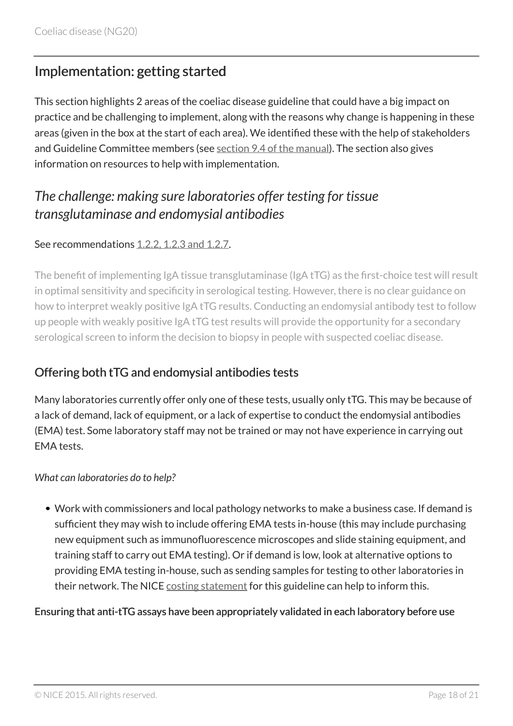# <span id="page-17-0"></span>Implementation: getting started

This section highlights 2 areas of the coeliac disease guideline that could have a big impact on practice and be challenging to implement, along with the reasons why change is happening in these areas (given in the box at the start of each area). We identified these with the help of stakeholders and Guideline Committee members (see [section 9.4 of the manual\)](https://www.nice.org.uk/article/pmg20/chapter/9-Developing-and-wording-recommendations-and-writing-the-guideline#highlighting-recommendations-for-implementation-support). The section also gives information on resources to help with implementation.

# <span id="page-17-1"></span>*The challenge: making sure laboratories offer testing for tissue transglutaminase and endomysial antibodies*

#### See recommendations [1.2.2, 1.2.3 and 1.2.7](#page-5-0).

The benefit of implementing IgA tissue transglutaminase (IgA tTG) as the first-choice test will result in optimal sensitivity and specificity in serological testing. However, there is no clear guidance on how to interpret weakly positive IgA tTG results. Conducting an endomysial antibody test to follow up people with weakly positive IgA tTG test results will provide the opportunity for a secondary serological screen to inform the decision to biopsy in people with suspected coeliac disease.

### Offering both tTG and endomysial antibodies tests

Many laboratories currently offer only one of these tests, usually only tTG. This may be because of a lack of demand, lack of equipment, or a lack of expertise to conduct the endomysial antibodies (EMA) test. Some laboratory staff may not be trained or may not have experience in carrying out EMA tests.

#### *What can laboratories do to help?*

Work with commissioners and local pathology networks to make a business case. If demand is sufficient they may wish to include offering EMA tests in-house (this may include purchasing new equipment such as immunofluorescence microscopes and slide staining equipment, and training staff to carry out EMA testing). Or if demand is low, look at alternative options to providing EMA testing in-house, such as sending samples for testing to other laboratories in their network. The NICE [costing statement](http://www.nice.org.uk/Guidance/NG20/Costing) for this guideline can help to inform this.

#### Ensuring that anti-tTG assays have been appropriately validated in each laboratory before use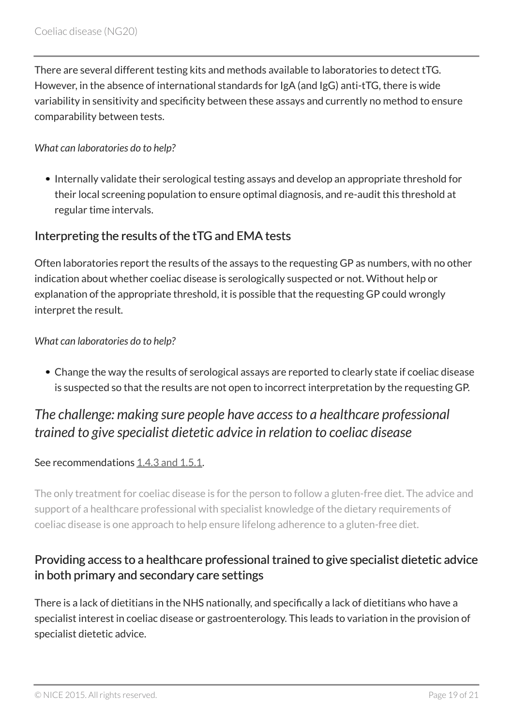There are several different testing kits and methods available to laboratories to detect tTG. However, in the absence of international standards for IgA (and IgG) anti-tTG, there is wide variability in sensitivity and specificity between these assays and currently no method to ensure comparability between tests.

#### *What can laboratories do to help?*

• Internally validate their serological testing assays and develop an appropriate threshold for their local screening population to ensure optimal diagnosis, and re-audit this threshold at regular time intervals.

#### Interpreting the results of the tTG and EMA tests

Often laboratories report the results of the assays to the requesting GP as numbers, with no other indication about whether coeliac disease is serologically suspected or not. Without help or explanation of the appropriate threshold, it is possible that the requesting GP could wrongly interpret the result.

#### *What can laboratories do to help?*

Change the way the results of serological assays are reported to clearly state if coeliac disease is suspected so that the results are not open to incorrect interpretation by the requesting GP.

# <span id="page-18-0"></span>*The challenge: making sure people have access to a healthcare professional trained to give specialist dietetic advice in relation to coeliac disease*

#### See recommendations [1.4.3 and 1.5.1.](#page-5-0)

The only treatment for coeliac disease is for the person to follow a gluten-free diet. The advice and support of a healthcare professional with specialist knowledge of the dietary requirements of coeliac disease is one approach to help ensure lifelong adherence to a gluten-free diet.

### Providing access to a healthcare professional trained to give specialist dietetic advice in both primary and secondary care settings

There is a lack of dietitians in the NHS nationally, and specifically a lack of dietitians who have a specialist interest in coeliac disease or gastroenterology. This leads to variation in the provision of specialist dietetic advice.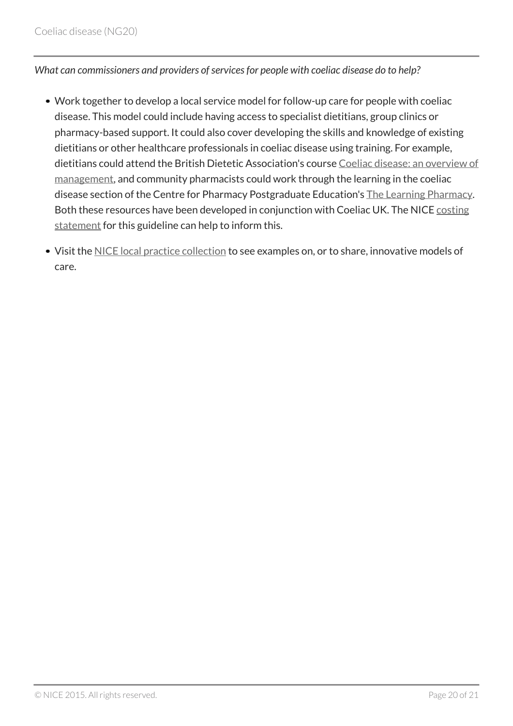#### *What can commissioners and providers of services for people with coeliac disease do to help?*

- Work together to develop a local service model for follow-up care for people with coeliac disease. This model could include having access to specialist dietitians, group clinics or pharmacy-based support. It could also cover developing the skills and knowledge of existing dietitians or other healthcare professionals in coeliac disease using training. For example, dietitians could attend the British Dietetic Association's course [Coeliac disease: an overview of](http://www.bdacpd.co.uk/course/index.php) [management,](http://www.bdacpd.co.uk/course/index.php) and community pharmacists could work through the learning in the coeliac disease section of the Centre for Pharmacy Postgraduate Education's [The Learning Pharmacy](http://www.thelearningpharmacy.com/). Both these resources have been developed in conjunction with Coeliac UK. The NICE [costing](http://www.nice.org.uk/Guidance/NG20/costing) [statement](http://www.nice.org.uk/Guidance/NG20/costing) for this guideline can help to inform this.
- Visit the [NICE local practice collection](http://www.nice.org.uk/about/what-we-do/into-practice/local-practice-case-studies) to see examples on, or to share, innovative models of care.